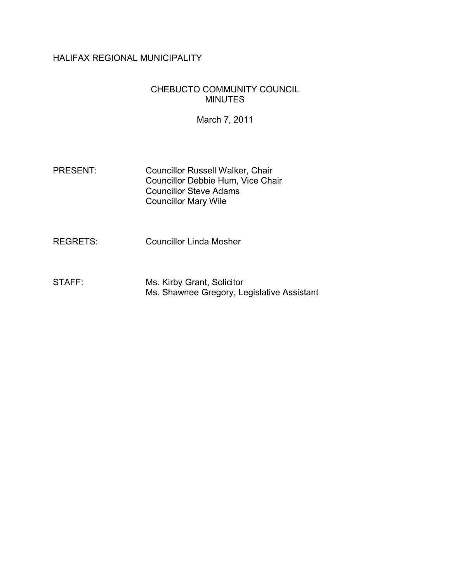# HALIFAX REGIONAL MUNICIPALITY

### CHEBUCTO COMMUNITY COUNCIL MINUTES

March 7, 2011

PRESENT: Councillor Russell Walker, Chair Councillor Debbie Hum, Vice Chair Councillor Steve Adams Councillor Mary Wile

REGRETS: Councillor Linda Mosher

STAFF: Ms. Kirby Grant, Solicitor Ms. Shawnee Gregory, Legislative Assistant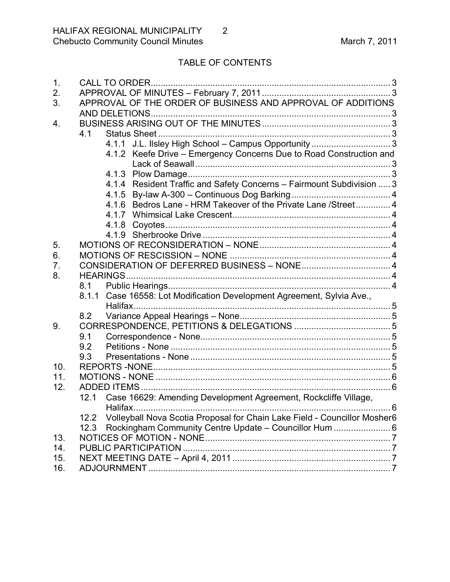# TABLE OF CONTENTS

| 1.  |                                                                                   |                                                                        |              |
|-----|-----------------------------------------------------------------------------------|------------------------------------------------------------------------|--------------|
| 2.  |                                                                                   |                                                                        |              |
| 3.  |                                                                                   | APPROVAL OF THE ORDER OF BUSINESS AND APPROVAL OF ADDITIONS            |              |
|     |                                                                                   |                                                                        |              |
| 4.  |                                                                                   |                                                                        |              |
|     | 4.1                                                                               |                                                                        |              |
|     |                                                                                   |                                                                        |              |
|     |                                                                                   | Keefe Drive - Emergency Concerns Due to Road Construction and<br>4.1.2 |              |
|     |                                                                                   |                                                                        |              |
|     |                                                                                   |                                                                        |              |
|     |                                                                                   | 4.1.4 Resident Traffic and Safety Concerns - Fairmount Subdivision  3  |              |
|     |                                                                                   |                                                                        |              |
|     |                                                                                   | 4.1.6 Bedros Lane - HRM Takeover of the Private Lane / Street 4        |              |
|     |                                                                                   |                                                                        |              |
|     |                                                                                   |                                                                        |              |
|     |                                                                                   |                                                                        |              |
| 5.  |                                                                                   |                                                                        |              |
| 6.  |                                                                                   |                                                                        |              |
| 7.  |                                                                                   |                                                                        |              |
| 8.  |                                                                                   |                                                                        |              |
|     | 8.1                                                                               |                                                                        |              |
|     |                                                                                   | 8.1.1 Case 16558: Lot Modification Development Agreement, Sylvia Ave., |              |
|     |                                                                                   |                                                                        |              |
|     | 8.2                                                                               |                                                                        |              |
| 9.  |                                                                                   |                                                                        |              |
|     | 9.1                                                                               |                                                                        |              |
|     | 9.2                                                                               |                                                                        |              |
|     | 9.3                                                                               |                                                                        |              |
| 10. |                                                                                   |                                                                        |              |
| 11. |                                                                                   |                                                                        |              |
| 12. |                                                                                   |                                                                        |              |
|     |                                                                                   | 12.1 Case 16629: Amending Development Agreement, Rockcliffe Village,   |              |
|     |                                                                                   |                                                                        | $\ldots$ . 6 |
|     | Volleyball Nova Scotia Proposal for Chain Lake Field - Councillor Mosher6<br>12.2 |                                                                        |              |
|     | 12.3                                                                              | Rockingham Community Centre Update - Councillor Hum  6                 |              |
| 13. |                                                                                   |                                                                        |              |
| 14. |                                                                                   |                                                                        |              |
| 15. |                                                                                   |                                                                        |              |
| 16. |                                                                                   |                                                                        |              |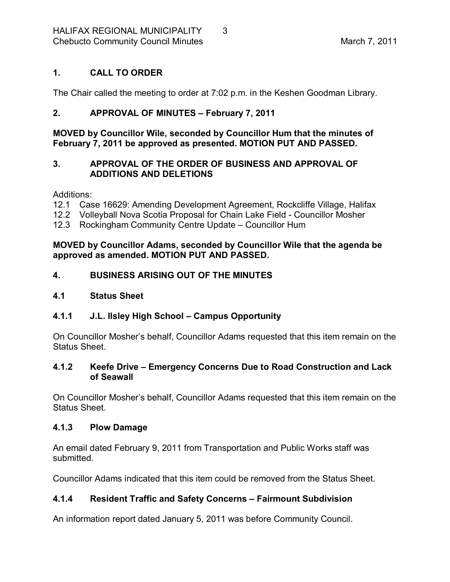### <span id="page-2-0"></span>**1. CALL TO ORDER**

The Chair called the meeting to order at 7:02 p.m. in the Keshen Goodman Library.

# <span id="page-2-1"></span>**2. APPROVAL OF MINUTES – February 7, 2011**

**MOVED by Councillor Wile, seconded by Councillor Hum that the minutes of February 7, 2011 be approved as presented. MOTION PUT AND PASSED.** 

### <span id="page-2-2"></span>**3. APPROVAL OF THE ORDER OF BUSINESS AND APPROVAL OF ADDITIONS AND DELETIONS**

Additions:

- 12.1 Case 16629: Amending Development Agreement, Rockcliffe Village, Halifax
- 12.2 Volleyball Nova Scotia Proposal for Chain Lake Field Councillor Mosher
- 12.3 Rockingham Community Centre Update Councillor Hum

**MOVED by Councillor Adams, seconded by Councillor Wile that the agenda be approved as amended. MOTION PUT AND PASSED.** 

# <span id="page-2-3"></span>**4. BUSINESS ARISING OUT OF THE MINUTES**

### <span id="page-2-4"></span>**4.1 Status Sheet**

# <span id="page-2-5"></span>**4.1.1 J.L. Ilsley High School – Campus Opportunity**

On Councillor Mosher's behalf, Councillor Adams requested that this item remain on the Status Sheet.

### <span id="page-2-6"></span>**4.1.2 Keefe Drive – Emergency Concerns Due to Road Construction and Lack of Seawall**

On Councillor Mosher's behalf, Councillor Adams requested that this item remain on the Status Sheet.

### <span id="page-2-7"></span>**4.1.3 Plow Damage**

An email dated February 9, 2011 from Transportation and Public Works staff was submitted.

Councillor Adams indicated that this item could be removed from the Status Sheet.

# <span id="page-2-8"></span>**4.1.4 Resident Traffic and Safety Concerns – Fairmount Subdivision**

An information report dated January 5, 2011 was before Community Council.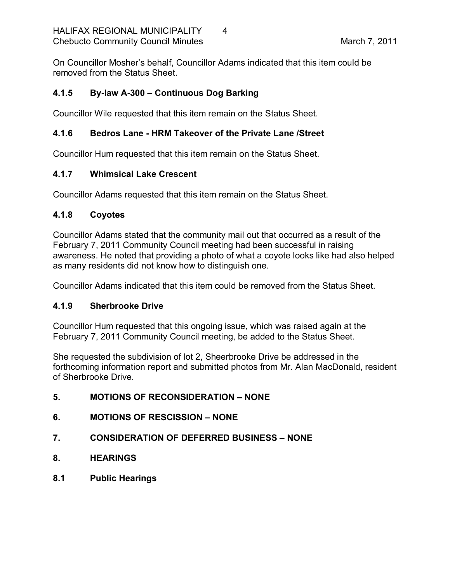On Councillor Mosher's behalf, Councillor Adams indicated that this item could be removed from the Status Sheet.

# <span id="page-3-0"></span>**4.1.5 Bylaw A300 – Continuous Dog Barking**

Councillor Wile requested that this item remain on the Status Sheet.

### <span id="page-3-1"></span>**4.1.6 Bedros Lane HRM Takeover of the Private Lane /Street**

Councillor Hum requested that this item remain on the Status Sheet.

### <span id="page-3-2"></span>**4.1.7 Whimsical Lake Crescent**

Councillor Adams requested that this item remain on the Status Sheet.

### <span id="page-3-3"></span>**4.1.8 Coyotes**

Councillor Adams stated that the community mail out that occurred as a result of the February 7, 2011 Community Council meeting had been successful in raising awareness. He noted that providing a photo of what a coyote looks like had also helped as many residents did not know how to distinguish one.

Councillor Adams indicated that this item could be removed from the Status Sheet.

# <span id="page-3-4"></span>**4.1.9 Sherbrooke Drive**

Councillor Hum requested that this ongoing issue, which was raised again at the February 7, 2011 Community Council meeting, be added to the Status Sheet.

She requested the subdivision of lot 2, Sheerbrooke Drive be addressed in the forthcoming information report and submitted photos from Mr. Alan MacDonald, resident of Sherbrooke Drive.

# <span id="page-3-5"></span>**5. MOTIONS OF RECONSIDERATION – NONE**

- <span id="page-3-6"></span>**6. MOTIONS OF RESCISSION – NONE**
- <span id="page-3-7"></span>**7. CONSIDERATION OF DEFERRED BUSINESS – NONE**
- <span id="page-3-8"></span>**8. HEARINGS**
- <span id="page-3-9"></span>**8.1 Public Hearings**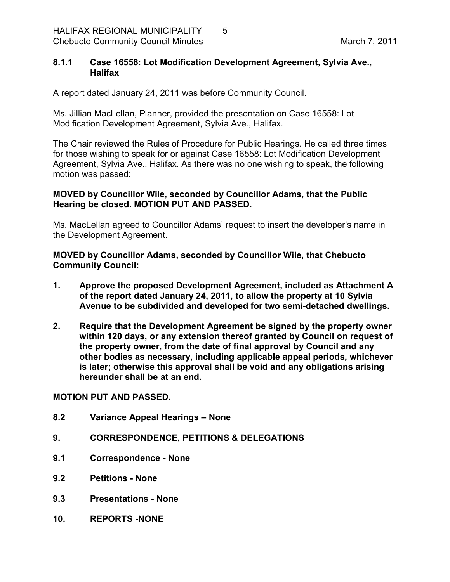#### <span id="page-4-0"></span>**8.1.1 Case 16558: Lot Modification Development Agreement, Sylvia Ave., Halifax**

A report dated January 24, 2011 was before Community Council.

Ms. Jillian MacLellan, Planner, provided the presentation on Case 16558: Lot Modification Development Agreement, Sylvia Ave., Halifax.

The Chair reviewed the Rules of Procedure for Public Hearings. He called three times for those wishing to speak for or against Case 16558: Lot Modification Development Agreement, Sylvia Ave., Halifax. As there was no one wishing to speak, the following motion was passed:

#### **MOVED by Councillor Wile, seconded by Councillor Adams, that the Public Hearing be closed. MOTION PUT AND PASSED.**

Ms. MacLellan agreed to Councillor Adams' request to insert the developer's name in the Development Agreement.

**MOVED by Councillor Adams, seconded by Councillor Wile, that Chebucto Community Council:**

- **1. Approve the proposed Development Agreement, included as Attachment A of the report dated January 24, 2011, to allow the property at 10 Sylvia Avenue to be subdivided and developed for two semidetached dwellings.**
- **2. Require that the Development Agreement be signed by the property owner within 120 days, or any extension thereof granted by Council on request of the property owner, from the date of final approval by Council and any other bodies as necessary, including applicable appeal periods, whichever is later; otherwise this approval shall be void and any obligations arising hereunder shall be at an end.**

**MOTION PUT AND PASSED.** 

- <span id="page-4-1"></span>**8.2 Variance Appeal Hearings – None**
- <span id="page-4-2"></span>**9. CORRESPONDENCE, PETITIONS & DELEGATIONS**
- <span id="page-4-3"></span>**9.1 Correspondence None**
- <span id="page-4-4"></span>**9.2 Petitions None**
- <span id="page-4-5"></span>**9.3 Presentations None**
- <span id="page-4-6"></span>**10. REPORTS NONE**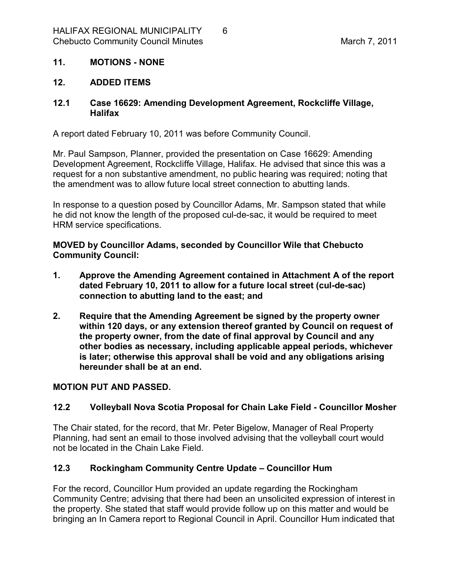### <span id="page-5-0"></span>**11. MOTIONS NONE**

#### <span id="page-5-1"></span>**12. ADDED ITEMS**

#### <span id="page-5-2"></span>**12.1 Case 16629: Amending Development Agreement, Rockcliffe Village, Halifax**

A report dated February 10, 2011 was before Community Council.

Mr. Paul Sampson, Planner, provided the presentation on Case 16629: Amending Development Agreement, Rockcliffe Village, Halifax. He advised that since this was a request for a non substantive amendment, no public hearing was required; noting that the amendment was to allow future local street connection to abutting lands.

In response to a question posed by Councillor Adams, Mr. Sampson stated that while he did not know the length of the proposed cul-de-sac, it would be required to meet HRM service specifications.

**MOVED by Councillor Adams, seconded by Councillor Wile that Chebucto Community Council:**

- **1. Approve the Amending Agreement contained in Attachment A of the report** dated February 10, 2011 to allow for a future local street (cul-de-sac) **connection to abutting land to the east; and**
- **2. Require that the Amending Agreement be signed by the property owner within 120 days, or any extension thereof granted by Council on request of the property owner, from the date of final approval by Council and any other bodies as necessary, including applicable appeal periods, whichever is later; otherwise this approval shall be void and any obligations arising hereunder shall be at an end.**

#### **MOTION PUT AND PASSED.**

### <span id="page-5-3"></span>**12.2 Volleyball Nova Scotia Proposal for Chain Lake Field Councillor Mosher**

The Chair stated, for the record, that Mr. Peter Bigelow, Manager of Real Property Planning, had sent an email to those involved advising that the volleyball court would not be located in the Chain Lake Field.

### <span id="page-5-4"></span>**12.3 Rockingham Community Centre Update – Councillor Hum**

For the record, Councillor Hum provided an update regarding the Rockingham Community Centre; advising that there had been an unsolicited expression of interest in the property. She stated that staff would provide follow up on this matter and would be bringing an In Camera report to Regional Council in April. Councillor Hum indicated that